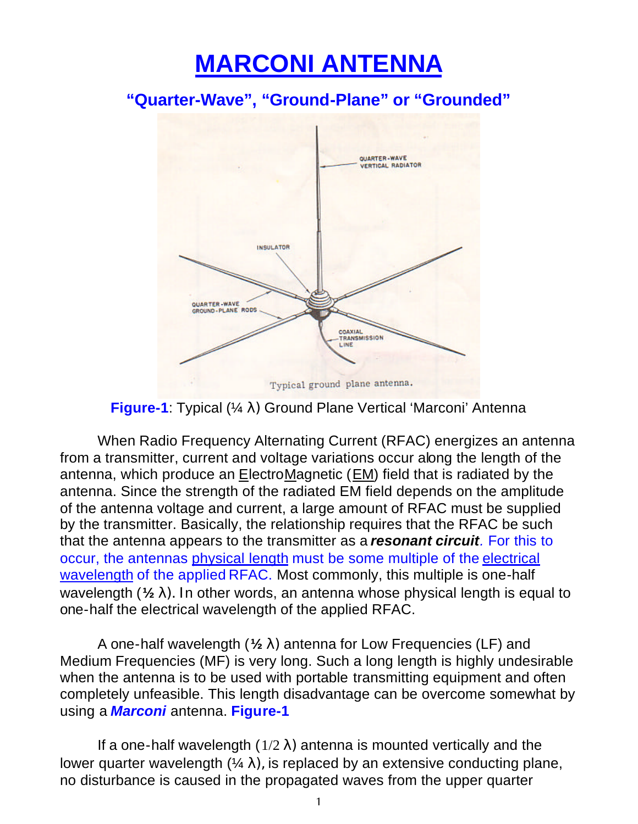## **MARCONI ANTENNA**

**"Quarter-Wave", "Ground-Plane" or "Grounded"**



**Figure-1**: Typical (¼ λ) Ground Plane Vertical 'Marconi' Antenna

When Radio Frequency Alternating Current (RFAC) energizes an antenna from a transmitter, current and voltage variations occur along the length of the antenna, which produce an ElectroMagnetic (EM) field that is radiated by the antenna. Since the strength of the radiated EM field depends on the amplitude of the antenna voltage and current, a large amount of RFAC must be supplied by the transmitter. Basically, the relationship requires that the RFAC be such that the antenna appears to the transmitter as a *resonant circuit.* For this to occur, the antennas physical length must be some multiple of the electrical wavelength of the applied RFAC. Most commonly, this multiple is one-half wavelength (**½ l). I**n other words, an antenna whose physical length is equal to one-half the electrical wavelength of the applied RFAC.

A one-half wavelength (**½ l)** antenna for Low Frequencies (LF) and Medium Frequencies (MF) is very long. Such a long length is highly undesirable when the antenna is to be used with portable transmitting equipment and often completely unfeasible. This length disadvantage can be overcome somewhat by using a *Marconi* antenna. **Figure-1**

If a one-half wavelength  $(1/2 \lambda)$  antenna is mounted vertically and the lower quarter wavelength  $(4\lambda)$ , is replaced by an extensive conducting plane, no disturbance is caused in the propagated waves from the upper quarter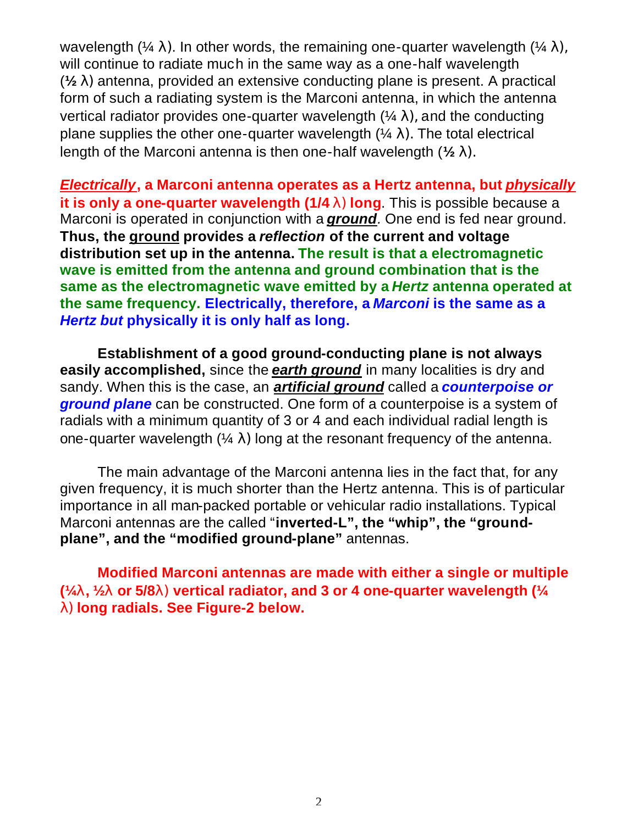wavelength ( $\frac{1}{4} \lambda$ ). In other words, the remaining one-quarter wavelength ( $\frac{1}{4} \lambda$ ), will continue to radiate much in the same way as a one-half wavelength (**½ l)** antenna, provided an extensive conducting plane is present. A practical form of such a radiating system is the Marconi antenna, in which the antenna vertical radiator provides one-quarter wavelength  $(4\lambda)$ , and the conducting plane supplies the other one-quarter wavelength  $(4\lambda)$ . The total electrical length of the Marconi antenna is then one-half wavelength (**½ l).**

*Electrically*, a Marconi antenna operates as a Hertz antenna, but *physically* **it is only a one-quarter wavelength (1/4 l) long**. This is possible because a Marconi is operated in conjunction with a *ground.* One end is fed near ground. **Thus, the ground provides a** *reflection* **of the current and voltage distribution set up in the antenna. The result is that a electromagnetic wave is emitted from the antenna and ground combination that is the same as the electromagnetic wave emitted by a** *Hertz* **antenna operated at the same frequency. Electrically, therefore, a** *Marconi* **is the same as a**  *Hertz but* **physically it is only half as long.**

**Establishment of a good ground-conducting plane is not always easily accomplished,** since the *earth ground* in many localities is dry and sandy. When this is the case, an *artificial ground* called a *counterpoise or ground plane* can be constructed. One form of a counterpoise is a system of radials with a minimum quantity of 3 or 4 and each individual radial length is one-quarter wavelength  $(4 \lambda)$  long at the resonant frequency of the antenna.

The main advantage of the Marconi antenna lies in the fact that, for any given frequency, it is much shorter than the Hertz antenna. This is of particular importance in all man-packed portable or vehicular radio installations. Typical Marconi antennas are the called "**inverted-L", the "whip", the "groundplane", and the "modified ground-plane"** antennas.

**Modified Marconi antennas are made with either a single or multiple (¼l, ½l or 5/8l) vertical radiator, and 3 or 4 one-quarter wavelength (¼ l) long radials. See Figure-2 below.**